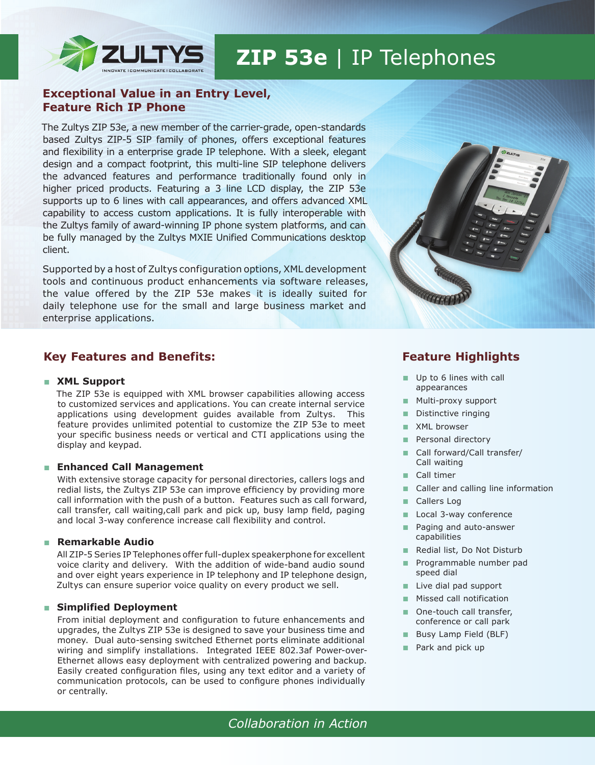

# **ZIP 53e** | IP Telephones

# **Exceptional Value in an Entry Level, Feature Rich IP Phone**

The Zultys ZIP 53e, a new member of the carrier-grade, open-standards based Zultys ZIP-5 SIP family of phones, offers exceptional features and flexibility in a enterprise grade IP telephone. With a sleek, elegant design and a compact footprint, this multi-line SIP telephone delivers the advanced features and performance traditionally found only in higher priced products. Featuring a 3 line LCD display, the ZIP 53e supports up to 6 lines with call appearances, and offers advanced XML capability to access custom applications. It is fully interoperable with the Zultys family of award-winning IP phone system platforms, and can be fully managed by the Zultys MXIE Unified Communications desktop client.

Supported by a host of Zultys configuration options, XML development tools and continuous product enhancements via software releases, the value offered by the ZIP 53e makes it is ideally suited for daily telephone use for the small and large business market and enterprise applications.

# **Key Features and Benefits:**

### ■ **XML Support**

The ZIP 53e is equipped with XML browser capabilities allowing access to customized services and applications. You can create internal service applications using development guides available from Zultys. This feature provides unlimited potential to customize the ZIP 53e to meet your specific business needs or vertical and CTI applications using the display and keypad.

# ■ **Enhanced Call Management**

With extensive storage capacity for personal directories, callers logs and redial lists, the Zultys ZIP 53e can improve efficiency by providing more call information with the push of a button. Features such as call forward, call transfer, call waiting,call park and pick up, busy lamp field, paging and local 3-way conference increase call flexibility and control.

#### ■ **Remarkable Audio**

All ZIP-5 Series IP Telephones offer full-duplex speakerphone for excellent voice clarity and delivery. With the addition of wide-band audio sound and over eight years experience in IP telephony and IP telephone design, Zultys can ensure superior voice quality on every product we sell.

#### ■ Simplified Deployment

From initial deployment and configuration to future enhancements and upgrades, the Zultys ZIP 53e is designed to save your business time and money. Dual auto-sensing switched Ethernet ports eliminate additional wiring and simplify installations. Integrated IEEE 802.3af Power-over-Ethernet allows easy deployment with centralized powering and backup. Easily created configuration files, using any text editor and a variety of communication protocols, can be used to configure phones individually or centrally.



# **Feature Highlights**

- Up to 6 lines with call appearances
- Multi-proxy support
- Distinctive ringing
- XML browser
- Personal directory
- Call forward/Call transfer/ Call waiting
- Call timer
- Caller and calling line information
- Callers Log
- Local 3-way conference
- Paging and auto-answer capabilities
- Redial list, Do Not Disturb
- Programmable number pad speed dial
- Live dial pad support
- Missed call notification
- One-touch call transfer, conference or call park
- Busy Lamp Field (BLF)
- Park and pick up